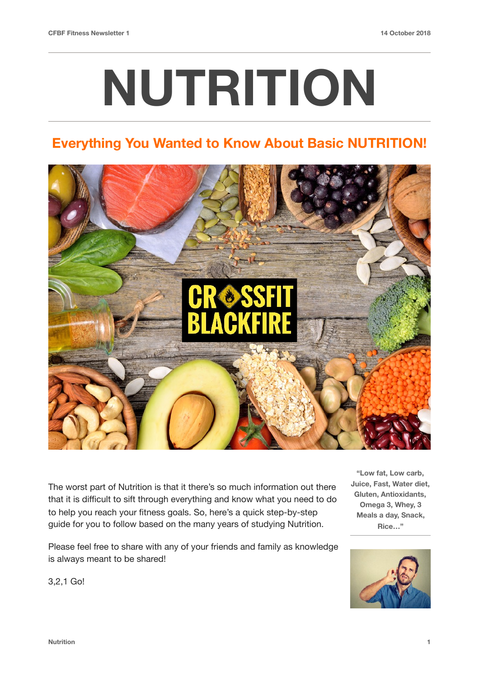# **NUTRITION**

### **Everything You Wanted to Know About Basic NUTRITION!**



The worst part of Nutrition is that it there's so much information out there that it is difficult to sift through everything and know what you need to do to help you reach your fitness goals. So, here's a quick step-by-step guide for you to follow based on the many years of studying Nutrition.

Please feel free to share with any of your friends and family as knowledge is always meant to be shared!

**"Low fat, Low carb, Juice, Fast, Water diet, Gluten, Antioxidants, Omega 3, Whey, 3 Meals a day, Snack, Rice…"**



3,2,1 Go!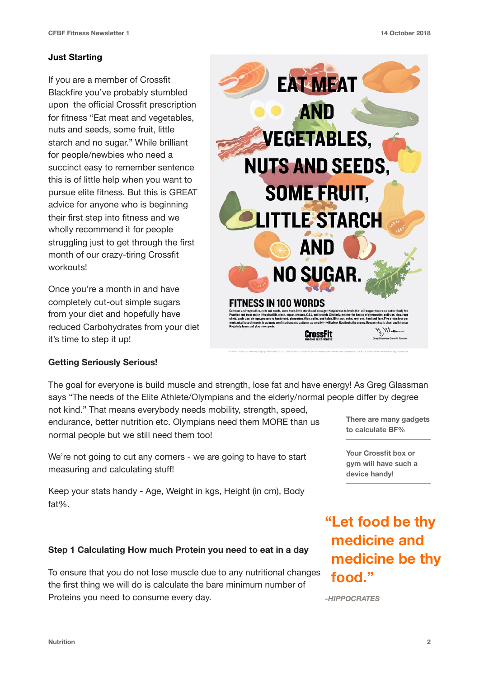#### **Just Starting**

If you are a member of Crossfit Blackfire you've probably stumbled upon the official Crossfit prescription for fitness "Eat meat and vegetables, nuts and seeds, some fruit, little starch and no sugar." While brilliant for people/newbies who need a succinct easy to remember sentence this is of little help when you want to pursue elite fitness. But this is GREAT advice for anyone who is beginning their first step into fitness and we wholly recommend it for people struggling just to get through the first month of our crazy-tiring Crossfit workouts!

Once you're a month in and have completely cut-out simple sugars from your diet and hopefully have reduced Carbohydrates from your diet it's time to step it up!



#### **Getting Seriously Serious!**

The goal for everyone is build muscle and strength, lose fat and have energy! As Greg Glassman says "The needs of the Elite Athlete/Olympians and the elderly/normal people differ by degree

not kind." That means everybody needs mobility, strength, speed, endurance, better nutrition etc. Olympians need them MORE than us normal people but we still need them too!

We're not going to cut any corners - we are going to have to start measuring and calculating stuff!

Keep your stats handy - Age, Weight in kgs, Height (in cm), Body fat%.

#### **Step 1 Calculating How much Protein you need to eat in a day**

To ensure that you do not lose muscle due to any nutritional changes the first thing we will do is calculate the bare minimum number of Proteins you need to consume every day.

**There are many gadgets to calculate BF%** 

**Your Crossfit box or gym will have such a device handy!**

## **"Let food be thy medicine and medicine be thy food."**

*-HIPPOCRATES*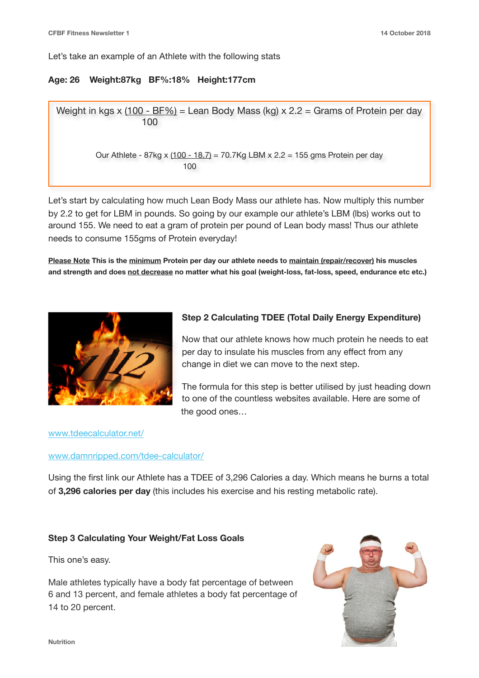Let's take an example of an Athlete with the following stats

#### **Age: 26 Weight:87kg BF%:18% Height:177cm**

Weight in kgs x (100 - BF%) = Lean Body Mass (kg)  $x 2.2$  = Grams of Protein per day 100

Our Athlete - 87kg x (100 - 18.7) = 70.7Kg LBM x 2.2 = 155 gms Protein per day <u>100</u>

Let's start by calculating how much Lean Body Mass our athlete has. Now multiply this number by 2.2 to get for LBM in pounds. So going by our example our athlete's LBM (lbs) works out to around 155. We need to eat a gram of protein per pound of Lean body mass! Thus our athlete needs to consume 155gms of Protein everyday!

**Please Note This is the minimum Protein per day our athlete needs to maintain (repair/recover) his muscles and strength and does not decrease no matter what his goal (weight-loss, fat-loss, speed, endurance etc etc.)** 



#### **Step 2 Calculating TDEE (Total Daily Energy Expenditure)**

Now that our athlete knows how much protein he needs to eat per day to insulate his muscles from any effect from any change in diet we can move to the next step.

The formula for this step is better utilised by just heading down to one of the countless websites available. Here are some of the good ones…

#### [www.tdeecalculator.net/](http://www.tdeecalculator.net/)

#### [www.damnripped.com/tdee-calculator/](http://www.damnripped.com/tdee-calculator/)

Using the first link our Athlete has a TDEE of 3,296 Calories a day. Which means he burns a total of **3,296 calories per day** (this includes his exercise and his resting metabolic rate).

#### **Step 3 Calculating Your Weight/Fat Loss Goals**

This one's easy.

Male athletes typically have a body fat percentage of between 6 and 13 percent, and female athletes a body fat percentage of 14 to 20 percent.

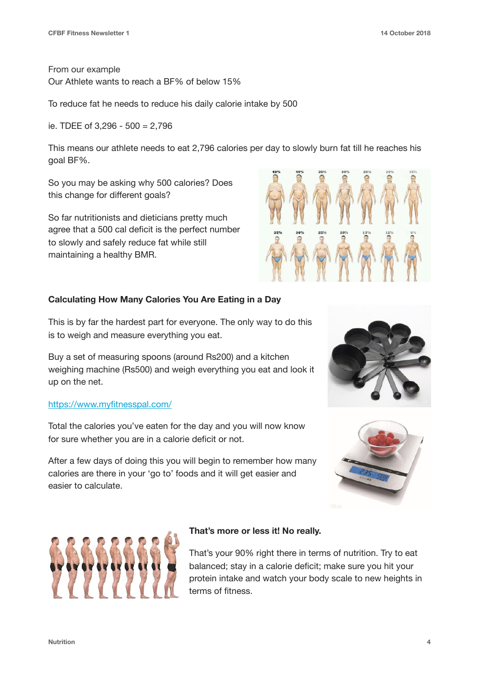From our example Our Athlete wants to reach a BF% of below 15%

To reduce fat he needs to reduce his daily calorie intake by 500

ie. TDEE of 3,296 - 500 = 2,796

This means our athlete needs to eat 2,796 calories per day to slowly burn fat till he reaches his goal BF%.

So you may be asking why 500 calories? Does this change for different goals?

So far nutritionists and dieticians pretty much agree that a 500 cal deficit is the perfect number to slowly and safely reduce fat while still maintaining a healthy BMR.



#### **Calculating How Many Calories You Are Eating in a Day**

This is by far the hardest part for everyone. The only way to do this is to weigh and measure everything you eat.

Buy a set of measuring spoons (around Rs200) and a kitchen weighing machine (Rs500) and weigh everything you eat and look it up on the net.

#### <https://www.myfitnesspal.com/>

Total the calories you've eaten for the day and you will now know for sure whether you are in a calorie deficit or not.

After a few days of doing this you will begin to remember how many calories are there in your 'go to' foods and it will get easier and easier to calculate.







#### **That's more or less it! No really.**

That's your 90% right there in terms of nutrition. Try to eat balanced; stay in a calorie deficit; make sure you hit your protein intake and watch your body scale to new heights in terms of fitness.